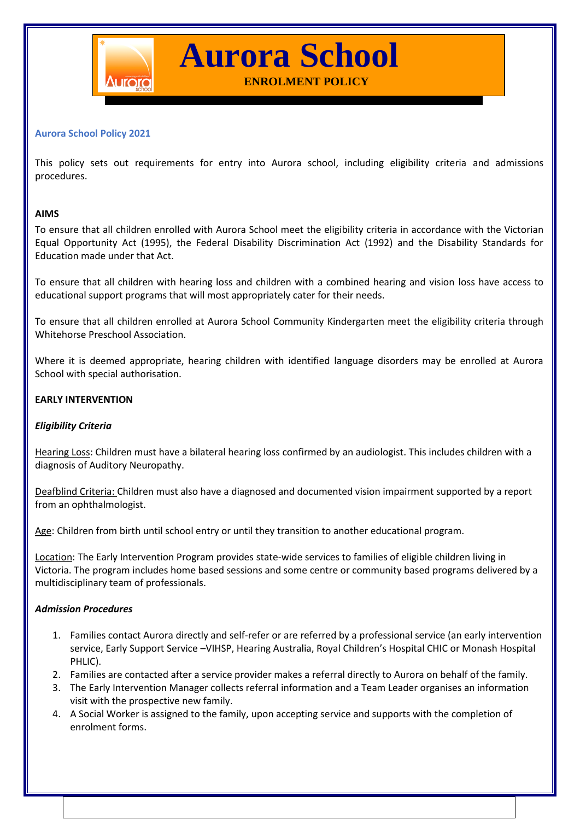

# **Aurora School ENROLMENT POLICY**

#### **Aurora School Policy 2021**

This policy sets out requirements for entry into Aurora school, including eligibility criteria and admissions procedures.

#### **AIMS**

To ensure that all children enrolled with Aurora School meet the eligibility criteria in accordance with the Victorian Equal Opportunity Act (1995), the Federal Disability Discrimination Act (1992) and the Disability Standards for Education made under that Act.

To ensure that all children with hearing loss and children with a combined hearing and vision loss have access to educational support programs that will most appropriately cater for their needs.

To ensure that all children enrolled at Aurora School Community Kindergarten meet the eligibility criteria through Whitehorse Preschool Association.

Where it is deemed appropriate, hearing children with identified language disorders may be enrolled at Aurora School with special authorisation.

#### **EARLY INTERVENTION**

#### *Eligibility Criteria*

Hearing Loss: Children must have a bilateral hearing loss confirmed by an audiologist. This includes children with a diagnosis of Auditory Neuropathy.

Deafblind Criteria: Children must also have a diagnosed and documented vision impairment supported by a report from an ophthalmologist.

Age: Children from birth until school entry or until they transition to another educational program.

Location: The Early Intervention Program provides state-wide services to families of eligible children living in Victoria. The program includes home based sessions and some centre or community based programs delivered by a multidisciplinary team of professionals.

#### *Admission Procedures*

- 1. Families contact Aurora directly and self-refer or are referred by a professional service (an early intervention service, Early Support Service –VIHSP, Hearing Australia, Royal Children's Hospital CHIC or Monash Hospital PHLIC).
- 2. Families are contacted after a service provider makes a referral directly to Aurora on behalf of the family.
- 3. The Early Intervention Manager collects referral information and a Team Leader organises an information visit with the prospective new family.
- 4. A Social Worker is assigned to the family, upon accepting service and supports with the completion of enrolment forms.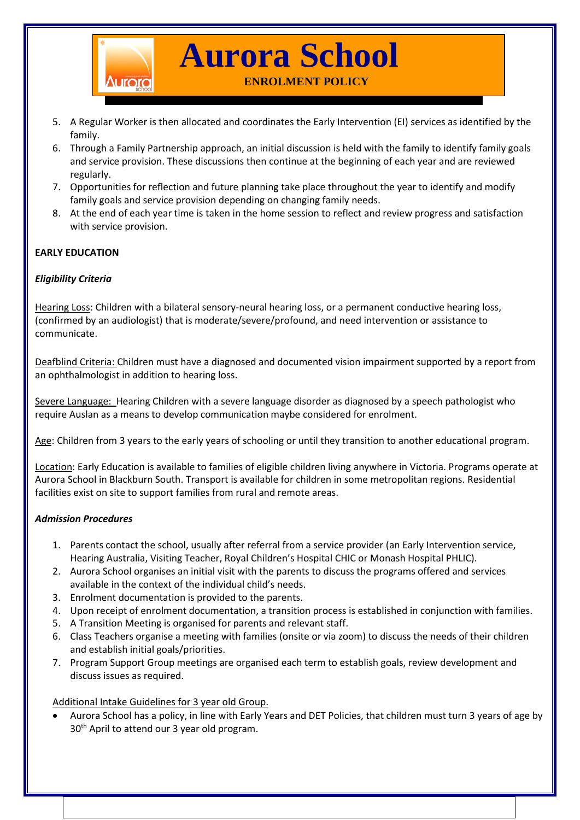

- 5. A Regular Worker is then allocated and coordinates the Early Intervention (EI) services as identified by the family.
- 6. Through a Family Partnership approach, an initial discussion is held with the family to identify family goals and service provision. These discussions then continue at the beginning of each year and are reviewed regularly.
- 7. Opportunities for reflection and future planning take place throughout the year to identify and modify family goals and service provision depending on changing family needs.
- 8. At the end of each year time is taken in the home session to reflect and review progress and satisfaction with service provision.

## **EARLY EDUCATION**

## *Eligibility Criteria*

Hearing Loss: Children with a bilateral sensory-neural hearing loss, or a permanent conductive hearing loss, (confirmed by an audiologist) that is moderate/severe/profound, and need intervention or assistance to communicate.

Deafblind Criteria: Children must have a diagnosed and documented vision impairment supported by a report from an ophthalmologist in addition to hearing loss.

Severe Language: Hearing Children with a severe language disorder as diagnosed by a speech pathologist who require Auslan as a means to develop communication maybe considered for enrolment.

Age: Children from 3 years to the early years of schooling or until they transition to another educational program.

Location: Early Education is available to families of eligible children living anywhere in Victoria. Programs operate at Aurora School in Blackburn South. Transport is available for children in some metropolitan regions. Residential facilities exist on site to support families from rural and remote areas.

## *Admission Procedures*

- 1. Parents contact the school, usually after referral from a service provider (an Early Intervention service, Hearing Australia, Visiting Teacher, Royal Children's Hospital CHIC or Monash Hospital PHLIC).
- 2. Aurora School organises an initial visit with the parents to discuss the programs offered and services available in the context of the individual child's needs.
- 3. Enrolment documentation is provided to the parents.
- 4. Upon receipt of enrolment documentation, a transition process is established in conjunction with families.
- 5. A Transition Meeting is organised for parents and relevant staff.
- 6. Class Teachers organise a meeting with families (onsite or via zoom) to discuss the needs of their children and establish initial goals/priorities.
- 7. Program Support Group meetings are organised each term to establish goals, review development and discuss issues as required.

## Additional Intake Guidelines for 3 year old Group.

 Aurora School has a policy, in line with Early Years and DET Policies, that children must turn 3 years of age by 30<sup>th</sup> April to attend our 3 year old program.